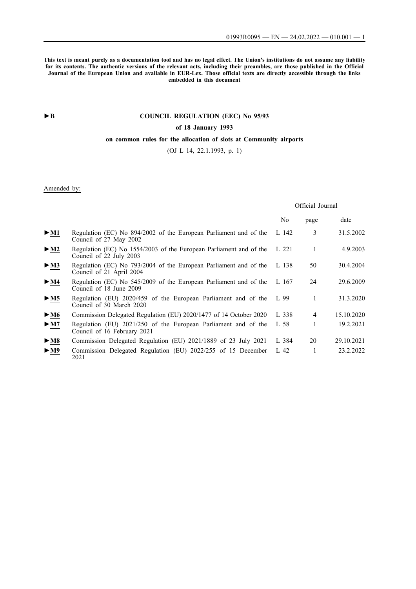**This text is meant purely as a documentation tool and has no legal effect. The Union's institutions do not assume any liability for its contents. The authentic versions of the relevant acts, including their preambles, are those published in the Official Journal of the European Union and available in EUR-Lex. Those official texts are directly accessible through the links embedded in this document**

# **►B [COUNCIL REGULATION \(EEC\) No 95/93](http://data.europa.eu/eli/reg/1993/95/oj/eng)**

## **[of 18 January 1993](http://data.europa.eu/eli/reg/1993/95/oj/eng)**

## **[on common rules for the allocation of slots at Community airports](http://data.europa.eu/eli/reg/1993/95/oj/eng)**

[\(OJ L 14, 22.1.1993, p. 1\)](http://data.europa.eu/eli/reg/1993/95/oj/eng)

## Amended by:

## Official Journal

|                            |                                                                                               | No    | page | date       |
|----------------------------|-----------------------------------------------------------------------------------------------|-------|------|------------|
| $\triangleright$ <u>M1</u> | Regulation (EC) No 894/2002 of the European Parliament and of the<br>Council of 27 May 2002   | L 142 | 3    | 31.5.2002  |
| $>$ M2                     | Regulation (EC) No 1554/2003 of the European Parliament and of the<br>Council of 22 July 2003 | L 221 | 1    | 4.9.2003   |
| $\blacktriangleright$ M3   | Regulation (EC) No 793/2004 of the European Parliament and of the<br>Council of 21 April 2004 | L 138 | 50   | 30.4.2004  |
| $\blacktriangleright$ M4   | Regulation (EC) No 545/2009 of the European Parliament and of the<br>Council of 18 June 2009  | L 167 | 24   | 29.6.2009  |
| > M5                       | Regulation (EU) 2020/459 of the European Parliament and of the<br>Council of 30 March 2020    | L 99  | 1    | 31.3.2020  |
| $\blacktriangleright$ M6   | Commission Delegated Regulation (EU) 2020/1477 of 14 October 2020                             | L 338 | 4    | 15.10.2020 |
| $\triangleright$ <u>M7</u> | Regulation (EU) 2021/250 of the European Parliament and of the<br>Council of 16 February 2021 | L 58  | 1    | 19.2.2021  |
| $\blacktriangleright$ M8   | Commission Delegated Regulation (EU) 2021/1889 of 23 July 2021                                | L 384 | 20   | 29.10.2021 |
| $\blacktriangleright$ M9   | Commission Delegated Regulation (EU) 2022/255 of 15 December<br>2021                          | L 42  |      | 23.2.2022  |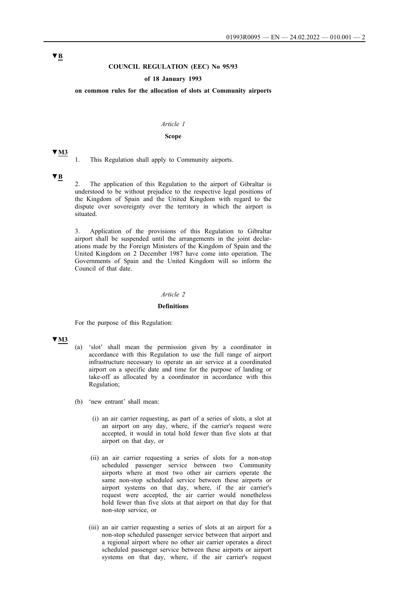### **COUNCIL REGULATION (EEC) No 95/93**

### **of 18 January 1993**

**on common rules for the allocation of slots at Community airports**

#### *Article 1*

#### **Scope**

1. This Regulation shall apply to Community airports.

#### **▼B**

**▼M3**

2. The application of this Regulation to the airport of Gibraltar is understood to be without prejudice to the respective legal positions of the Kingdom of Spain and the United Kingdom with regard to the dispute over sovereignty over the territory in which the airport is situated.

3. Application of the provisions of this Regulation to Gibraltar airport shall be suspended until the arrangements in the joint declarations made by the Foreign Ministers of the Kingdom of Spain and the United Kingdom on 2 December 1987 have come into operation. The Governments of Spain and the United Kingdom will so inform the Council of that date.

### *Article 2*

#### **Definitions**

For the purpose of this Regulation:

#### **▼M3**

- (a) 'slot' shall mean the permission given by a coordinator in accordance with this Regulation to use the full range of airport infrastructure necessary to operate an air service at a coordinated airport on a specific date and time for the purpose of landing or take-off as allocated by a coordinator in accordance with this Regulation;
- (b) 'new entrant' shall mean:
	- (i) an air carrier requesting, as part of a series of slots, a slot at an airport on any day, where, if the carrier's request were accepted, it would in total hold fewer than five slots at that airport on that day, or
	- (ii) an air carrier requesting a series of slots for a non-stop scheduled passenger service between two Community airports where at most two other air carriers operate the same non-stop scheduled service between these airports or airport systems on that day, where, if the air carrier's request were accepted, the air carrier would nonetheless hold fewer than five slots at that airport on that day for that non-stop service, or
	- (iii) an air carrier requesting a series of slots at an airport for a non-stop scheduled passenger service between that airport and a regional airport where no other air carrier operates a direct scheduled passenger service between these airports or airport systems on that day, where, if the air carrier's request

# **▼B**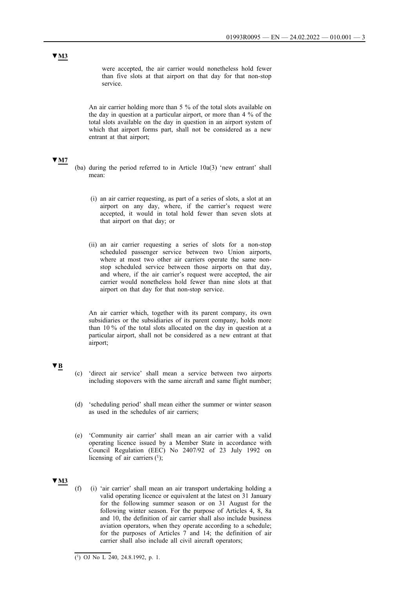were accepted, the air carrier would nonetheless hold fewer than five slots at that airport on that day for that non-stop service.

An air carrier holding more than 5 % of the total slots available on the day in question at a particular airport, or more than 4 % of the total slots available on the day in question in an airport system of which that airport forms part, shall not be considered as a new entrant at that airport;

#### **▼M7**

- (ba) during the period referred to in Article 10a(3) 'new entrant' shall mean:
	- (i) an air carrier requesting, as part of a series of slots, a slot at an airport on any day, where, if the carrier's request were accepted, it would in total hold fewer than seven slots at that airport on that day; or
	- (ii) an air carrier requesting a series of slots for a non-stop scheduled passenger service between two Union airports, where at most two other air carriers operate the same nonstop scheduled service between those airports on that day, and where, if the air carrier's request were accepted, the air carrier would nonetheless hold fewer than nine slots at that airport on that day for that non-stop service.

An air carrier which, together with its parent company, its own subsidiaries or the subsidiaries of its parent company, holds more than 10 % of the total slots allocated on the day in question at a particular airport, shall not be considered as a new entrant at that airport;

## **▼B**

- (c) 'direct air service' shall mean a service between two airports including stopovers with the same aircraft and same flight number;
- (d) 'scheduling period' shall mean either the summer or winter season as used in the schedules of air carriers;
- (e) 'Community air carrier' shall mean an air carrier with a valid operating licence issued by a Member State in accordance with Council Regulation (EEC) No 2407/92 of 23 July 1992 on licensing of air carriers  $(1)$ ;

## **▼M3**

(f) (i) 'air carrier' shall mean an air transport undertaking holding a valid operating licence or equivalent at the latest on 31 January for the following summer season or on 31 August for the following winter season. For the purpose of Articles 4, 8, 8a and 10, the definition of air carrier shall also include business aviation operators, when they operate according to a schedule; for the purposes of Articles  $7$  and 14; the definition of air carrier shall also include all civil aircraft operators;

 $\overline{(^1)}$  OJ No L 240, 24.8.1992, p. 1.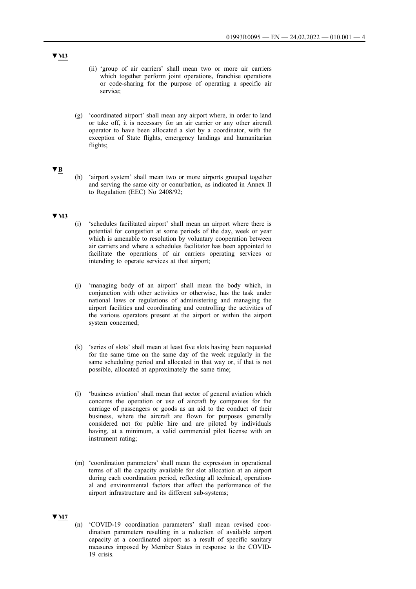- (ii) 'group of air carriers' shall mean two or more air carriers which together perform joint operations, franchise operations or code-sharing for the purpose of operating a specific air service;
- (g) 'coordinated airport' shall mean any airport where, in order to land or take off, it is necessary for an air carrier or any other aircraft operator to have been allocated a slot by a coordinator, with the exception of State flights, emergency landings and humanitarian flights;

### **▼B**

(h) 'airport system' shall mean two or more airports grouped together and serving the same city or conurbation, as indicated in Annex II to Regulation (EEC) No 2408/92;

#### **▼M3**

- (i) 'schedules facilitated airport' shall mean an airport where there is potential for congestion at some periods of the day, week or year which is amenable to resolution by voluntary cooperation between air carriers and where a schedules facilitator has been appointed to facilitate the operations of air carriers operating services or intending to operate services at that airport;
- (j) 'managing body of an airport' shall mean the body which, in conjunction with other activities or otherwise, has the task under national laws or regulations of administering and managing the airport facilities and coordinating and controlling the activities of the various operators present at the airport or within the airport system concerned;
- (k) 'series of slots' shall mean at least five slots having been requested for the same time on the same day of the week regularly in the same scheduling period and allocated in that way or, if that is not possible, allocated at approximately the same time;
- (l) 'business aviation' shall mean that sector of general aviation which concerns the operation or use of aircraft by companies for the carriage of passengers or goods as an aid to the conduct of their business, where the aircraft are flown for purposes generally considered not for public hire and are piloted by individuals having, at a minimum, a valid commercial pilot license with an instrument rating;
- (m) 'coordination parameters' shall mean the expression in operational terms of all the capacity available for slot allocation at an airport during each coordination period, reflecting all technical, operational and environmental factors that affect the performance of the airport infrastructure and its different sub-systems;

## **▼M7**

(n) 'COVID-19 coordination parameters' shall mean revised coordination parameters resulting in a reduction of available airport capacity at a coordinated airport as a result of specific sanitary measures imposed by Member States in response to the COVID-19 crisis.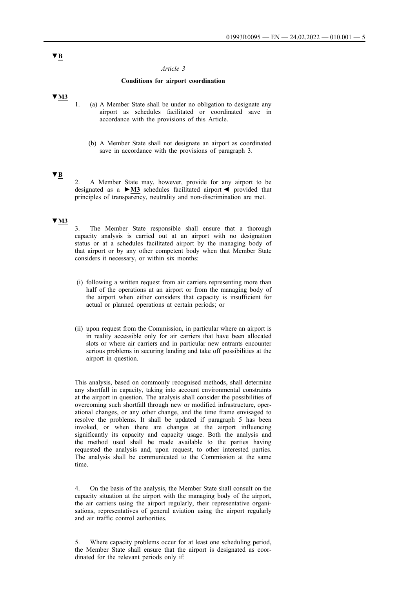#### *Article 3*

#### **Conditions for airport coordination**

## **▼M3**

- 1. (a) A Member State shall be under no obligation to designate any airport as schedules facilitated or coordinated save in accordance with the provisions of this Article.
	- (b) A Member State shall not designate an airport as coordinated save in accordance with the provisions of paragraph 3.

## **▼B**

2. A Member State may, however, provide for any airport to be designated as a **►M3** schedules facilitated airport ◄ provided that principles of transparency, neutrality and non-discrimination are met.

### **▼M3**

3. The Member State responsible shall ensure that a thorough capacity analysis is carried out at an airport with no designation status or at a schedules facilitated airport by the managing body of that airport or by any other competent body when that Member State considers it necessary, or within six months:

- (i) following a written request from air carriers representing more than half of the operations at an airport or from the managing body of the airport when either considers that capacity is insufficient for actual or planned operations at certain periods; or
- (ii) upon request from the Commission, in particular where an airport is in reality accessible only for air carriers that have been allocated slots or where air carriers and in particular new entrants encounter serious problems in securing landing and take off possibilities at the airport in question.

This analysis, based on commonly recognised methods, shall determine any shortfall in capacity, taking into account environmental constraints at the airport in question. The analysis shall consider the possibilities of overcoming such shortfall through new or modified infrastructure, operational changes, or any other change, and the time frame envisaged to resolve the problems. It shall be updated if paragraph 5 has been invoked, or when there are changes at the airport influencing significantly its capacity and capacity usage. Both the analysis and the method used shall be made available to the parties having requested the analysis and, upon request, to other interested parties. The analysis shall be communicated to the Commission at the same time.

4. On the basis of the analysis, the Member State shall consult on the capacity situation at the airport with the managing body of the airport, the air carriers using the airport regularly, their representative organisations, representatives of general aviation using the airport regularly and air traffic control authorities.

5. Where capacity problems occur for at least one scheduling period, the Member State shall ensure that the airport is designated as coordinated for the relevant periods only if:

# **▼B**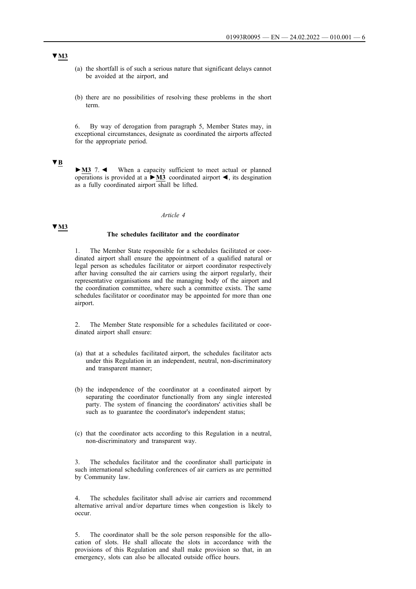- (a) the shortfall is of such a serious nature that significant delays cannot be avoided at the airport, and
- (b) there are no possibilities of resolving these problems in the short term.

6. By way of derogation from paragraph 5, Member States may, in exceptional circumstances, designate as coordinated the airports affected for the appropriate period.

## **▼B**

**►M3** 7. ◄ When a capacity sufficient to meet actual or planned operations is provided at a **►M3** coordinated airport ◄, its desgination as a fully coordinated airport shall be lifted.

#### *Article 4*

### **▼M3**

# **The schedules facilitator and the coordinator**

1. The Member State responsible for a schedules facilitated or coordinated airport shall ensure the appointment of a qualified natural or legal person as schedules facilitator or airport coordinator respectively after having consulted the air carriers using the airport regularly, their representative organisations and the managing body of the airport and the coordination committee, where such a committee exists. The same schedules facilitator or coordinator may be appointed for more than one airport.

2. The Member State responsible for a schedules facilitated or coordinated airport shall ensure:

- (a) that at a schedules facilitated airport, the schedules facilitator acts under this Regulation in an independent, neutral, non-discriminatory and transparent manner;
- (b) the independence of the coordinator at a coordinated airport by separating the coordinator functionally from any single interested party. The system of financing the coordinators' activities shall be such as to guarantee the coordinator's independent status;
- (c) that the coordinator acts according to this Regulation in a neutral, non-discriminatory and transparent way.

3. The schedules facilitator and the coordinator shall participate in such international scheduling conferences of air carriers as are permitted by Community law.

The schedules facilitator shall advise air carriers and recommend alternative arrival and/or departure times when congestion is likely to occur.

5. The coordinator shall be the sole person responsible for the allocation of slots. He shall allocate the slots in accordance with the provisions of this Regulation and shall make provision so that, in an emergency, slots can also be allocated outside office hours.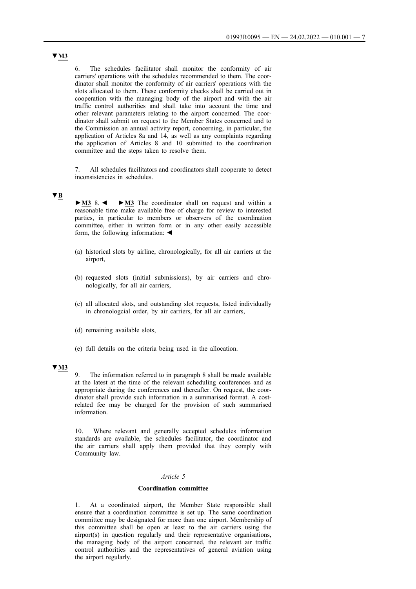6. The schedules facilitator shall monitor the conformity of air carriers' operations with the schedules recommended to them. The coordinator shall monitor the conformity of air carriers' operations with the slots allocated to them. These conformity checks shall be carried out in cooperation with the managing body of the airport and with the air traffic control authorities and shall take into account the time and other relevant parameters relating to the airport concerned. The coordinator shall submit on request to the Member States concerned and to the Commission an annual activity report, concerning, in particular, the application of Articles 8a and 14, as well as any complaints regarding the application of Articles 8 and 10 submitted to the coordination committee and the steps taken to resolve them.

7. All schedules facilitators and coordinators shall cooperate to detect inconsistencies in schedules.

## **▼B**

**►M3** 8. ◄ **►M3** The coordinator shall on request and within a reasonable time make available free of charge for review to interested parties, in particular to members or observers of the coordination committee, either in written form or in any other easily accessible form, the following information: ◄

- (a) historical slots by airline, chronologically, for all air carriers at the airport,
- (b) requested slots (initial submissions), by air carriers and chronologically, for all air carriers,
- (c) all allocated slots, and outstanding slot requests, listed individually in chronologcial order, by air carriers, for all air carriers,
- (d) remaining available slots,
- (e) full details on the criteria being used in the allocation.

### **▼M3**

9. The information referred to in paragraph 8 shall be made available at the latest at the time of the relevant scheduling conferences and as appropriate during the conferences and thereafter. On request, the coordinator shall provide such information in a summarised format. A costrelated fee may be charged for the provision of such summarised information.

10. Where relevant and generally accepted schedules information standards are available, the schedules facilitator, the coordinator and the air carriers shall apply them provided that they comply with Community law.

#### *Article 5*

#### **Coordination committee**

1. At a coordinated airport, the Member State responsible shall ensure that a coordination committee is set up. The same coordination committee may be designated for more than one airport. Membership of this committee shall be open at least to the air carriers using the airport(s) in question regularly and their representative organisations, the managing body of the airport concerned, the relevant air traffic control authorities and the representatives of general aviation using the airport regularly.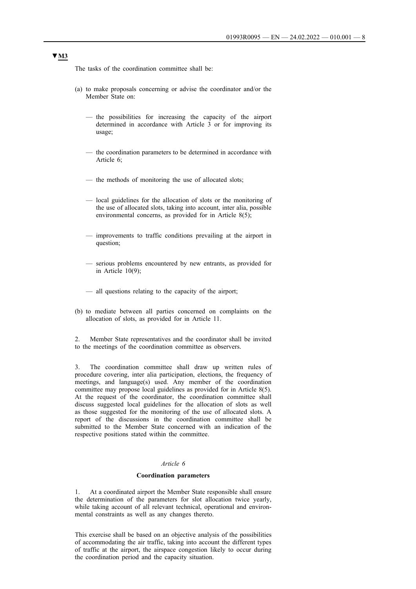The tasks of the coordination committee shall be:

- (a) to make proposals concerning or advise the coordinator and/or the Member State on:
	- the possibilities for increasing the capacity of the airport determined in accordance with Article 3 or for improving its usage;
	- the coordination parameters to be determined in accordance with Article 6;
	- the methods of monitoring the use of allocated slots;
	- local guidelines for the allocation of slots or the monitoring of the use of allocated slots, taking into account, inter alia, possible environmental concerns, as provided for in Article 8(5);
	- improvements to traffic conditions prevailing at the airport in question;
	- serious problems encountered by new entrants, as provided for in Article  $10(9)$ ;
	- all questions relating to the capacity of the airport;
- (b) to mediate between all parties concerned on complaints on the allocation of slots, as provided for in Article 11.

2. Member State representatives and the coordinator shall be invited to the meetings of the coordination committee as observers.

3. The coordination committee shall draw up written rules of procedure covering, inter alia participation, elections, the frequency of meetings, and language(s) used. Any member of the coordination committee may propose local guidelines as provided for in Article 8(5). At the request of the coordinator, the coordination committee shall discuss suggested local guidelines for the allocation of slots as well as those suggested for the monitoring of the use of allocated slots. A report of the discussions in the coordination committee shall be submitted to the Member State concerned with an indication of the respective positions stated within the committee.

## *Article 6*

#### **Coordination parameters**

1. At a coordinated airport the Member State responsible shall ensure the determination of the parameters for slot allocation twice yearly, while taking account of all relevant technical, operational and environmental constraints as well as any changes thereto.

This exercise shall be based on an objective analysis of the possibilities of accommodating the air traffic, taking into account the different types of traffic at the airport, the airspace congestion likely to occur during the coordination period and the capacity situation.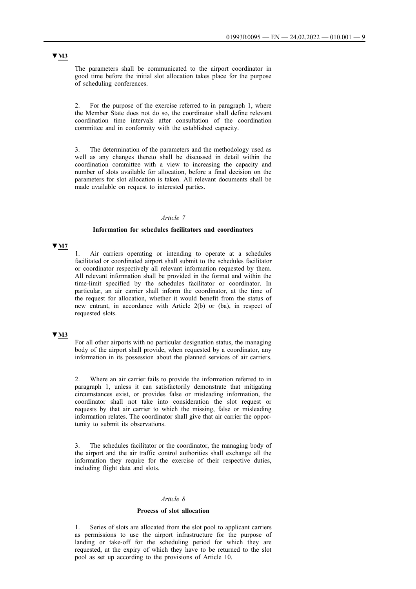The parameters shall be communicated to the airport coordinator in good time before the initial slot allocation takes place for the purpose of scheduling conferences.

2. For the purpose of the exercise referred to in paragraph 1, where the Member State does not do so, the coordinator shall define relevant coordination time intervals after consultation of the coordination committee and in conformity with the established capacity.

3. The determination of the parameters and the methodology used as well as any changes thereto shall be discussed in detail within the coordination committee with a view to increasing the capacity and number of slots available for allocation, before a final decision on the parameters for slot allocation is taken. All relevant documents shall be made available on request to interested parties.

#### *Article 7*

#### **Information for schedules facilitators and coordinators**

### **▼M7**

Air carriers operating or intending to operate at a schedules facilitated or coordinated airport shall submit to the schedules facilitator or coordinator respectively all relevant information requested by them. All relevant information shall be provided in the format and within the time-limit specified by the schedules facilitator or coordinator. In particular, an air carrier shall inform the coordinator, at the time of the request for allocation, whether it would benefit from the status of new entrant, in accordance with Article 2(b) or (ba), in respect of requested slots.

## **▼M3**

For all other airports with no particular designation status, the managing body of the airport shall provide, when requested by a coordinator, any information in its possession about the planned services of air carriers.

2. Where an air carrier fails to provide the information referred to in paragraph 1, unless it can satisfactorily demonstrate that mitigating circumstances exist, or provides false or misleading information, the coordinator shall not take into consideration the slot request or requests by that air carrier to which the missing, false or misleading information relates. The coordinator shall give that air carrier the opportunity to submit its observations.

3. The schedules facilitator or the coordinator, the managing body of the airport and the air traffic control authorities shall exchange all the information they require for the exercise of their respective duties, including flight data and slots.

#### *Article 8*

#### **Process of slot allocation**

1. Series of slots are allocated from the slot pool to applicant carriers as permissions to use the airport infrastructure for the purpose of landing or take-off for the scheduling period for which they are requested, at the expiry of which they have to be returned to the slot pool as set up according to the provisions of Article 10.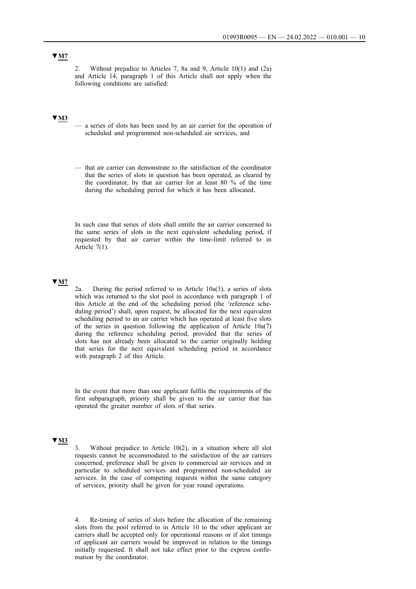## **▼M7**

2. Without prejudice to Articles 7, 8a and 9, Article 10(1) and (2a) and Article 14, paragraph 1 of this Article shall not apply when the following conditions are satisfied:

# **▼M3**

- a series of slots has been used by an air carrier for the operation of scheduled and programmed non-scheduled air services, and
- that air carrier can demonstrate to the satisfaction of the coordinator that the series of slots in question has been operated, as cleared by the coordinator, by that air carrier for at least 80 % of the time during the scheduling period for which it has been allocated.

In such case that series of slots shall entitle the air carrier concerned to the same series of slots in the next equivalent scheduling period, if requested by that air carrier within the time-limit referred to in Article 7(1).

## **▼M7**

2a. During the period referred to in Article 10a(3), a series of slots which was returned to the slot pool in accordance with paragraph 1 of this Article at the end of the scheduling period (the 'reference scheduling period') shall, upon request, be allocated for the next equivalent scheduling period to an air carrier which has operated at least five slots of the series in question following the application of Article 10a(7) during the reference scheduling period, provided that the series of slots has not already been allocated to the carrier originally holding that series for the next equivalent scheduling period in accordance with paragraph 2 of this Article.

In the event that more than one applicant fulfils the requirements of the first subparagraph, priority shall be given to the air carrier that has operated the greater number of slots of that series.

### **▼M3**

Without prejudice to Article  $10(2)$ , in a situation where all slot requests cannot be accommodated to the satisfaction of the air carriers concerned, preference shall be given to commercial air services and in particular to scheduled services and programmed non-scheduled air services. In the case of competing requests within the same category of services, priority shall be given for year round operations.

4. Re-timing of series of slots before the allocation of the remaining slots from the pool referred to in Article 10 to the other applicant air carriers shall be accepted only for operational reasons or if slot timings of applicant air carriers would be improved in relation to the timings initially requested. It shall not take effect prior to the express confirmation by the coordinator.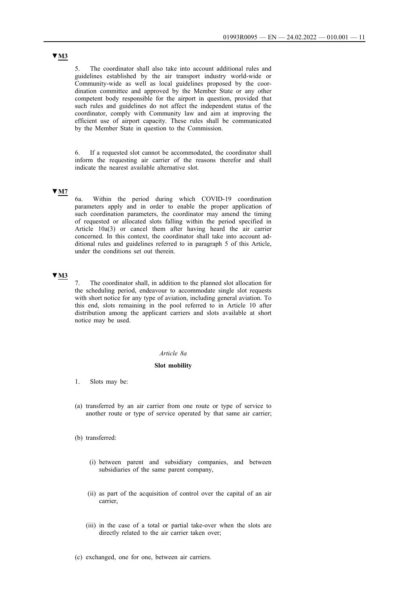5. The coordinator shall also take into account additional rules and guidelines established by the air transport industry world-wide or Community-wide as well as local guidelines proposed by the coordination committee and approved by the Member State or any other competent body responsible for the airport in question, provided that such rules and guidelines do not affect the independent status of the coordinator, comply with Community law and aim at improving the efficient use of airport capacity. These rules shall be communicated by the Member State in question to the Commission.

6. If a requested slot cannot be accommodated, the coordinator shall inform the requesting air carrier of the reasons therefor and shall indicate the nearest available alternative slot.

### **▼M7**

6a. Within the period during which COVID-19 coordination parameters apply and in order to enable the proper application of such coordination parameters, the coordinator may amend the timing of requested or allocated slots falling within the period specified in Article 10a(3) or cancel them after having heard the air carrier concerned. In this context, the coordinator shall take into account additional rules and guidelines referred to in paragraph 5 of this Article, under the conditions set out therein.

## **▼M3**

7. The coordinator shall, in addition to the planned slot allocation for the scheduling period, endeavour to accommodate single slot requests with short notice for any type of aviation, including general aviation. To this end, slots remaining in the pool referred to in Article 10 after distribution among the applicant carriers and slots available at short notice may be used.

#### *Article 8a*

#### **Slot mobility**

- 1. Slots may be:
- (a) transferred by an air carrier from one route or type of service to another route or type of service operated by that same air carrier;
- (b) transferred:
	- (i) between parent and subsidiary companies, and between subsidiaries of the same parent company,
	- (ii) as part of the acquisition of control over the capital of an air carrier,
	- (iii) in the case of a total or partial take-over when the slots are directly related to the air carrier taken over;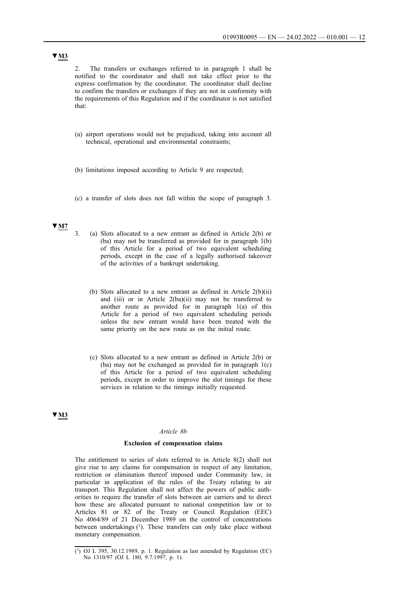2. The transfers or exchanges referred to in paragraph 1 shall be notified to the coordinator and shall not take effect prior to the express confirmation by the coordinator. The coordinator shall decline to confirm the transfers or exchanges if they are not in conformity with the requirements of this Regulation and if the coordinator is not satisfied that:

- (a) airport operations would not be prejudiced, taking into account all technical, operational and environmental constraints;
- (b) limitations imposed according to Article 9 are respected;
- (c) a transfer of slots does not fall within the scope of paragraph 3.

## **▼M7**

- 3. (a) Slots allocated to a new entrant as defined in Article 2(b) or (ba) may not be transferred as provided for in paragraph 1(b) of this Article for a period of two equivalent scheduling periods, except in the case of a legally authorised takeover of the activities of a bankrupt undertaking.
	- (b) Slots allocated to a new entrant as defined in Article 2(b)(ii) and (iii) or in Article 2(ba)(ii) may not be transferred to another route as provided for in paragraph 1(a) of this Article for a period of two equivalent scheduling periods unless the new entrant would have been treated with the same priority on the new route as on the initial route.
	- (c) Slots allocated to a new entrant as defined in Article 2(b) or (ba) may not be exchanged as provided for in paragraph 1(c) of this Article for a period of two equivalent scheduling periods, except in order to improve the slot timings for these services in relation to the timings initially requested.

### **▼M3**

#### *Article 8b*

#### **Exclusion of compensation claims**

The entitlement to series of slots referred to in Article 8(2) shall not give rise to any claims for compensation in respect of any limitation, restriction or elimination thereof imposed under Community law, in particular in application of the rules of the Treaty relating to air transport. This Regulation shall not affect the powers of public authorities to require the transfer of slots between air carriers and to direct how these are allocated pursuant to national competition law or to Articles 81 or 82 of the Treaty or Council Regulation (EEC) No 4064/89 of 21 December 1989 on the control of concentrations between undertakings  $(1)$ . These transfers can only take place without monetary compensation.

 $(1)$  OJ L 395, 30.12.1989, p. 1. Regulation as last amended by Regulation (EC) No 1310/97 (OJ L 180, 9.7.1997, p. 1).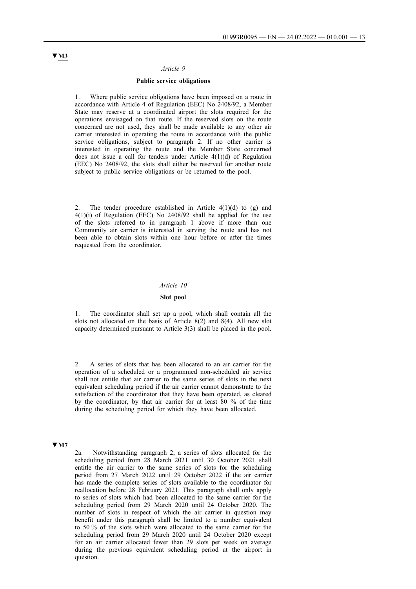#### *Article 9*

#### **Public service obligations**

1. Where public service obligations have been imposed on a route in accordance with Article 4 of Regulation (EEC) No 2408/92, a Member State may reserve at a coordinated airport the slots required for the operations envisaged on that route. If the reserved slots on the route concerned are not used, they shall be made available to any other air carrier interested in operating the route in accordance with the public service obligations, subject to paragraph 2. If no other carrier is interested in operating the route and the Member State concerned does not issue a call for tenders under Article 4(1)(d) of Regulation (EEC) No 2408/92, the slots shall either be reserved for another route subject to public service obligations or be returned to the pool.

The tender procedure established in Article  $4(1)(d)$  to (g) and 4(1)(i) of Regulation (EEC) No 2408/92 shall be applied for the use of the slots referred to in paragraph 1 above if more than one Community air carrier is interested in serving the route and has not been able to obtain slots within one hour before or after the times requested from the coordinator.

#### *Article 10*

#### **Slot pool**

The coordinator shall set up a pool, which shall contain all the slots not allocated on the basis of Article 8(2) and 8(4). All new slot capacity determined pursuant to Article 3(3) shall be placed in the pool.

2. A series of slots that has been allocated to an air carrier for the operation of a scheduled or a programmed non-scheduled air service shall not entitle that air carrier to the same series of slots in the next equivalent scheduling period if the air carrier cannot demonstrate to the satisfaction of the coordinator that they have been operated, as cleared by the coordinator, by that air carrier for at least 80 % of the time during the scheduling period for which they have been allocated.

### **▼M7**

2a. Notwithstanding paragraph 2, a series of slots allocated for the scheduling period from 28 March 2021 until 30 October 2021 shall entitle the air carrier to the same series of slots for the scheduling period from 27 March 2022 until 29 October 2022 if the air carrier has made the complete series of slots available to the coordinator for reallocation before 28 February 2021. This paragraph shall only apply to series of slots which had been allocated to the same carrier for the scheduling period from 29 March 2020 until 24 October 2020. The number of slots in respect of which the air carrier in question may benefit under this paragraph shall be limited to a number equivalent to 50 % of the slots which were allocated to the same carrier for the scheduling period from 29 March 2020 until 24 October 2020 except for an air carrier allocated fewer than 29 slots per week on average during the previous equivalent scheduling period at the airport in question.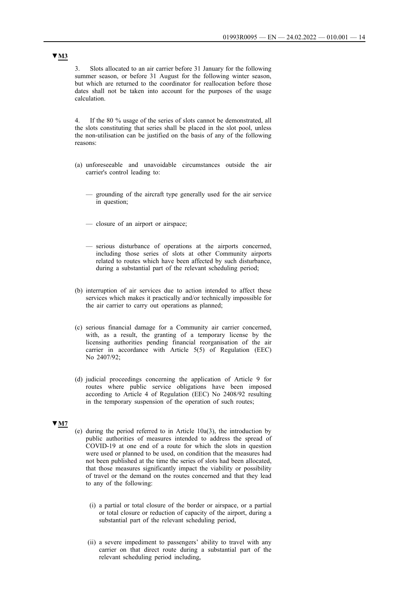3. Slots allocated to an air carrier before 31 January for the following summer season, or before 31 August for the following winter season, but which are returned to the coordinator for reallocation before those dates shall not be taken into account for the purposes of the usage calculation.

4. If the 80 % usage of the series of slots cannot be demonstrated, all the slots constituting that series shall be placed in the slot pool, unless the non-utilisation can be justified on the basis of any of the following reasons:

- (a) unforeseeable and unavoidable circumstances outside the air carrier's control leading to:
	- grounding of the aircraft type generally used for the air service in question;
	- closure of an airport or airspace;
	- serious disturbance of operations at the airports concerned, including those series of slots at other Community airports related to routes which have been affected by such disturbance, during a substantial part of the relevant scheduling period;
- (b) interruption of air services due to action intended to affect these services which makes it practically and/or technically impossible for the air carrier to carry out operations as planned;
- (c) serious financial damage for a Community air carrier concerned, with, as a result, the granting of a temporary license by the licensing authorities pending financial reorganisation of the air carrier in accordance with Article 5(5) of Regulation (EEC) No 2407/92;
- (d) judicial proceedings concerning the application of Article 9 for routes where public service obligations have been imposed according to Article 4 of Regulation (EEC) No 2408/92 resulting in the temporary suspension of the operation of such routes;

#### **▼M7**

- (e) during the period referred to in Article 10a(3), the introduction by public authorities of measures intended to address the spread of COVID-19 at one end of a route for which the slots in question were used or planned to be used, on condition that the measures had not been published at the time the series of slots had been allocated, that those measures significantly impact the viability or possibility of travel or the demand on the routes concerned and that they lead to any of the following:
	- (i) a partial or total closure of the border or airspace, or a partial or total closure or reduction of capacity of the airport, during a substantial part of the relevant scheduling period,
	- (ii) a severe impediment to passengers' ability to travel with any carrier on that direct route during a substantial part of the relevant scheduling period including,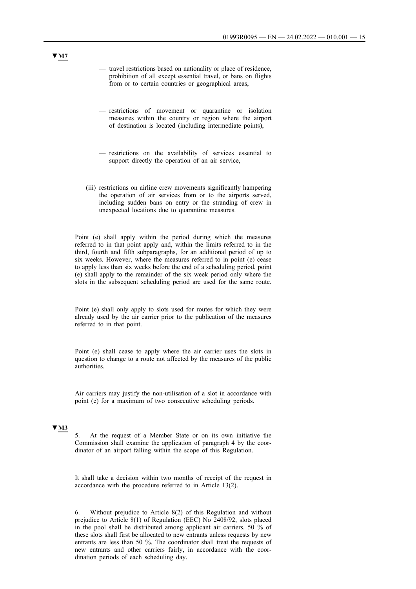- travel restrictions based on nationality or place of residence, prohibition of all except essential travel, or bans on flights from or to certain countries or geographical areas,
- restrictions of movement or quarantine or isolation measures within the country or region where the airport of destination is located (including intermediate points),
- restrictions on the availability of services essential to support directly the operation of an air service,
- (iii) restrictions on airline crew movements significantly hampering the operation of air services from or to the airports served, including sudden bans on entry or the stranding of crew in unexpected locations due to quarantine measures.

Point (e) shall apply within the period during which the measures referred to in that point apply and, within the limits referred to in the third, fourth and fifth subparagraphs, for an additional period of up to six weeks. However, where the measures referred to in point (e) cease to apply less than six weeks before the end of a scheduling period, point (e) shall apply to the remainder of the six week period only where the slots in the subsequent scheduling period are used for the same route.

Point (e) shall only apply to slots used for routes for which they were already used by the air carrier prior to the publication of the measures referred to in that point.

Point (e) shall cease to apply where the air carrier uses the slots in question to change to a route not affected by the measures of the public authorities.

Air carriers may justify the non-utilisation of a slot in accordance with point (e) for a maximum of two consecutive scheduling periods.

## **▼M3**

5. At the request of a Member State or on its own initiative the Commission shall examine the application of paragraph 4 by the coordinator of an airport falling within the scope of this Regulation.

It shall take a decision within two months of receipt of the request in accordance with the procedure referred to in Article 13(2).

6. Without prejudice to Article 8(2) of this Regulation and without prejudice to Article 8(1) of Regulation (EEC) No 2408/92, slots placed in the pool shall be distributed among applicant air carriers. 50 % of these slots shall first be allocated to new entrants unless requests by new entrants are less than 50 %. The coordinator shall treat the requests of new entrants and other carriers fairly, in accordance with the coordination periods of each scheduling day.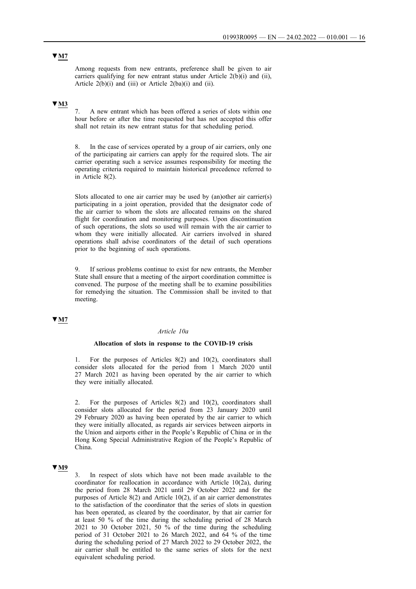Among requests from new entrants, preference shall be given to air carriers qualifying for new entrant status under Article 2(b)(i) and (ii), Article  $2(b)(i)$  and (iii) or Article  $2(ba)(i)$  and (ii).

## **▼M3**

7. A new entrant which has been offered a series of slots within one hour before or after the time requested but has not accepted this offer shall not retain its new entrant status for that scheduling period.

8. In the case of services operated by a group of air carriers, only one of the participating air carriers can apply for the required slots. The air carrier operating such a service assumes responsibility for meeting the operating criteria required to maintain historical precedence referred to in Article 8(2).

Slots allocated to one air carrier may be used by (an)other air carrier(s) participating in a joint operation, provided that the designator code of the air carrier to whom the slots are allocated remains on the shared flight for coordination and monitoring purposes. Upon discontinuation of such operations, the slots so used will remain with the air carrier to whom they were initially allocated. Air carriers involved in shared operations shall advise coordinators of the detail of such operations prior to the beginning of such operations.

9. If serious problems continue to exist for new entrants, the Member State shall ensure that a meeting of the airport coordination committee is convened. The purpose of the meeting shall be to examine possibilities for remedying the situation. The Commission shall be invited to that meeting.

## **▼M7**

#### *Article 10a*

#### **Allocation of slots in response to the COVID-19 crisis**

1. For the purposes of Articles 8(2) and 10(2), coordinators shall consider slots allocated for the period from 1 March 2020 until 27 March 2021 as having been operated by the air carrier to which they were initially allocated.

2. For the purposes of Articles 8(2) and 10(2), coordinators shall consider slots allocated for the period from 23 January 2020 until 29 February 2020 as having been operated by the air carrier to which they were initially allocated, as regards air services between airports in the Union and airports either in the People's Republic of China or in the Hong Kong Special Administrative Region of the People's Republic of China.

## **▼M9**

In respect of slots which have not been made available to the coordinator for reallocation in accordance with Article 10(2a), during the period from 28 March 2021 until 29 October 2022 and for the purposes of Article 8(2) and Article 10(2), if an air carrier demonstrates to the satisfaction of the coordinator that the series of slots in question has been operated, as cleared by the coordinator, by that air carrier for at least 50 % of the time during the scheduling period of 28 March 2021 to 30 October 2021, 50  $\%$  of the time during the scheduling period of 31 October 2021 to 26 March 2022, and 64 % of the time during the scheduling period of 27 March 2022 to 29 October 2022, the air carrier shall be entitled to the same series of slots for the next equivalent scheduling period.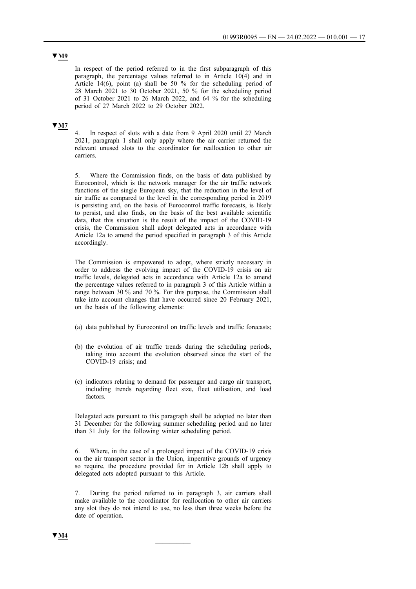## **▼M9**

In respect of the period referred to in the first subparagraph of this paragraph, the percentage values referred to in Article 10(4) and in Article 14(6), point (a) shall be 50 % for the scheduling period of 28 March 2021 to 30 October 2021, 50 % for the scheduling period of 31 October 2021 to 26 March 2022, and 64 % for the scheduling period of 27 March 2022 to 29 October 2022.

## **▼M7**

4. In respect of slots with a date from 9 April 2020 until 27 March 2021, paragraph 1 shall only apply where the air carrier returned the relevant unused slots to the coordinator for reallocation to other air carriers.

5. Where the Commission finds, on the basis of data published by Eurocontrol, which is the network manager for the air traffic network functions of the single European sky, that the reduction in the level of air traffic as compared to the level in the corresponding period in 2019 is persisting and, on the basis of Eurocontrol traffic forecasts, is likely to persist, and also finds, on the basis of the best available scientific data, that this situation is the result of the impact of the COVID-19 crisis, the Commission shall adopt delegated acts in accordance with Article 12a to amend the period specified in paragraph 3 of this Article accordingly.

The Commission is empowered to adopt, where strictly necessary in order to address the evolving impact of the COVID-19 crisis on air traffic levels, delegated acts in accordance with Article 12a to amend the percentage values referred to in paragraph 3 of this Article within a range between 30 % and 70 %. For this purpose, the Commission shall take into account changes that have occurred since 20 February 2021, on the basis of the following elements:

- (a) data published by Eurocontrol on traffic levels and traffic forecasts;
- (b) the evolution of air traffic trends during the scheduling periods, taking into account the evolution observed since the start of the COVID-19 crisis; and
- (c) indicators relating to demand for passenger and cargo air transport, including trends regarding fleet size, fleet utilisation, and load factors.

Delegated acts pursuant to this paragraph shall be adopted no later than 31 December for the following summer scheduling period and no later than 31 July for the following winter scheduling period.

6. Where, in the case of a prolonged impact of the COVID-19 crisis on the air transport sector in the Union, imperative grounds of urgency so require, the procedure provided for in Article 12b shall apply to delegated acts adopted pursuant to this Article.

7. During the period referred to in paragraph 3, air carriers shall make available to the coordinator for reallocation to other air carriers any slot they do not intend to use, no less than three weeks before the date of operation.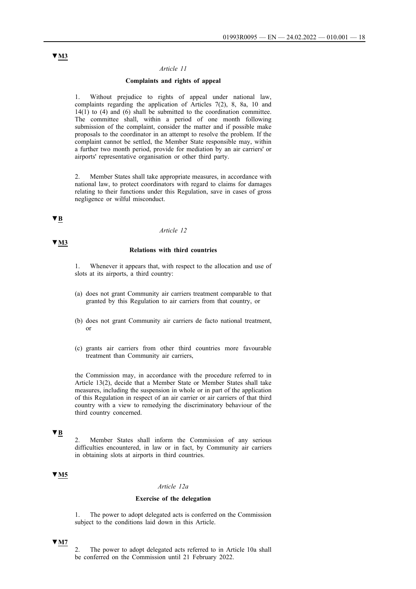#### *Article 11*

### **Complaints and rights of appeal**

1. Without prejudice to rights of appeal under national law, complaints regarding the application of Articles 7(2), 8, 8a, 10 and  $14(1)$  to (4) and (6) shall be submitted to the coordination committee. The committee shall, within a period of one month following submission of the complaint, consider the matter and if possible make proposals to the coordinator in an attempt to resolve the problem. If the complaint cannot be settled, the Member State responsible may, within a further two month period, provide for mediation by an air carriers' or airports' representative organisation or other third party.

2. Member States shall take appropriate measures, in accordance with national law, to protect coordinators with regard to claims for damages relating to their functions under this Regulation, save in cases of gross negligence or wilful misconduct.

# **▼B**

**▼M3**

#### *Article 12*

### **Relations with third countries**

Whenever it appears that, with respect to the allocation and use of slots at its airports, a third country:

- (a) does not grant Community air carriers treatment comparable to that granted by this Regulation to air carriers from that country, or
- (b) does not grant Community air carriers de facto national treatment, or
- (c) grants air carriers from other third countries more favourable treatment than Community air carriers,

the Commission may, in accordance with the procedure referred to in Article 13(2), decide that a Member State or Member States shall take measures, including the suspension in whole or in part of the application of this Regulation in respect of an air carrier or air carriers of that third country with a view to remedying the discriminatory behaviour of the third country concerned.

# **▼B**

2. Member States shall inform the Commission of any serious difficulties encountered, in law or in fact, by Community air carriers in obtaining slots at airports in third countries.

## **▼M5**

### *Article 12a*

### **Exercise of the delegation**

1. The power to adopt delegated acts is conferred on the Commission subject to the conditions laid down in this Article.

### **▼M7**

2. The power to adopt delegated acts referred to in Article 10a shall be conferred on the Commission until 21 February 2022.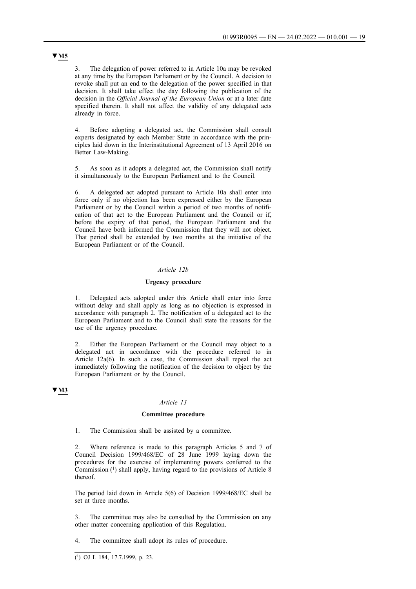3. The delegation of power referred to in Article 10a may be revoked at any time by the European Parliament or by the Council. A decision to revoke shall put an end to the delegation of the power specified in that decision. It shall take effect the day following the publication of the decision in the *Official Journal of the European Union* or at a later date specified therein. It shall not affect the validity of any delegated acts already in force.

4. Before adopting a delegated act, the Commission shall consult experts designated by each Member State in accordance with the principles laid down in the Interinstitutional Agreement of 13 April 2016 on Better Law-Making.

5. As soon as it adopts a delegated act, the Commission shall notify it simultaneously to the European Parliament and to the Council.

6. A delegated act adopted pursuant to Article 10a shall enter into force only if no objection has been expressed either by the European Parliament or by the Council within a period of two months of notification of that act to the European Parliament and the Council or if, before the expiry of that period, the European Parliament and the Council have both informed the Commission that they will not object. That period shall be extended by two months at the initiative of the European Parliament or of the Council.

#### *Article 12b*

### **Urgency procedure**

1. Delegated acts adopted under this Article shall enter into force without delay and shall apply as long as no objection is expressed in accordance with paragraph 2. The notification of a delegated act to the European Parliament and to the Council shall state the reasons for the use of the urgency procedure.

Either the European Parliament or the Council may object to a delegated act in accordance with the procedure referred to in Article 12a(6). In such a case, the Commission shall repeal the act immediately following the notification of the decision to object by the European Parliament or by the Council.

#### **▼M3**

#### *Article 13*

#### **Committee procedure**

1. The Commission shall be assisted by a committee.

2. Where reference is made to this paragraph Articles 5 and 7 of Council Decision 1999/468/EC of 28 June 1999 laying down the procedures for the exercise of implementing powers conferred to the Commission (1) shall apply, having regard to the provisions of Article 8 thereof.

The period laid down in Article 5(6) of Decision 1999/468/EC shall be set at three months.

3. The committee may also be consulted by the Commission on any other matter concerning application of this Regulation.

4. The committee shall adopt its rules of procedure.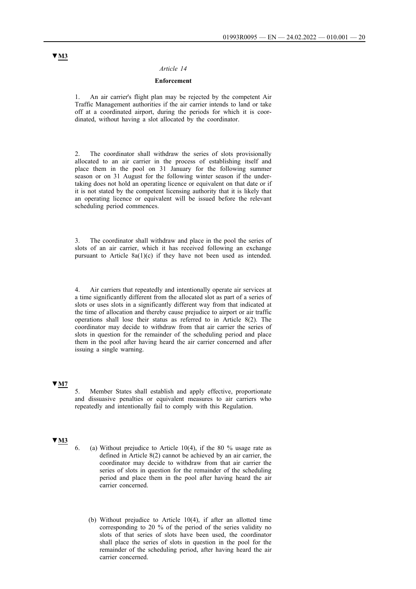#### *Article 14*

### **Enforcement**

1. An air carrier's flight plan may be rejected by the competent Air Traffic Management authorities if the air carrier intends to land or take off at a coordinated airport, during the periods for which it is coordinated, without having a slot allocated by the coordinator.

2. The coordinator shall withdraw the series of slots provisionally allocated to an air carrier in the process of establishing itself and place them in the pool on 31 January for the following summer season or on 31 August for the following winter season if the undertaking does not hold an operating licence or equivalent on that date or if it is not stated by the competent licensing authority that it is likely that an operating licence or equivalent will be issued before the relevant scheduling period commences.

3. The coordinator shall withdraw and place in the pool the series of slots of an air carrier, which it has received following an exchange pursuant to Article 8a(1)(c) if they have not been used as intended.

Air carriers that repeatedly and intentionally operate air services at a time significantly different from the allocated slot as part of a series of slots or uses slots in a significantly different way from that indicated at the time of allocation and thereby cause prejudice to airport or air traffic operations shall lose their status as referred to in Article 8(2). The coordinator may decide to withdraw from that air carrier the series of slots in question for the remainder of the scheduling period and place them in the pool after having heard the air carrier concerned and after issuing a single warning.

## **▼M7**

5. Member States shall establish and apply effective, proportionate and dissuasive penalties or equivalent measures to air carriers who repeatedly and intentionally fail to comply with this Regulation.

## **▼M3**

- 6. (a) Without prejudice to Article 10(4), if the 80 % usage rate as defined in Article 8(2) cannot be achieved by an air carrier, the coordinator may decide to withdraw from that air carrier the series of slots in question for the remainder of the scheduling period and place them in the pool after having heard the air carrier concerned.
	- (b) Without prejudice to Article 10(4), if after an allotted time corresponding to 20 % of the period of the series validity no slots of that series of slots have been used, the coordinator shall place the series of slots in question in the pool for the remainder of the scheduling period, after having heard the air carrier concerned.